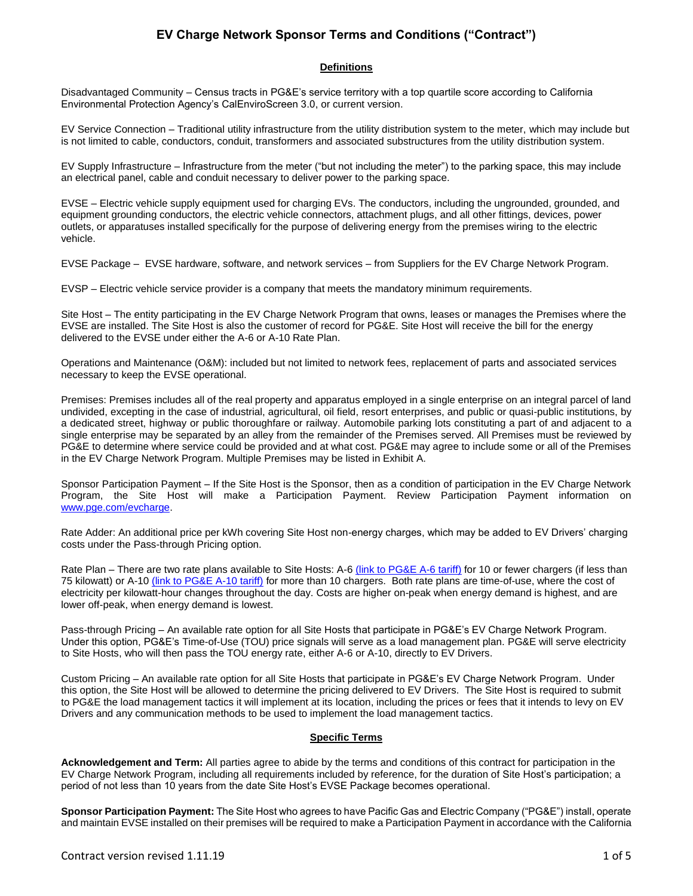# **EV Charge Network Sponsor Terms and Conditions ("Contract")**

### **Definitions**

Disadvantaged Community – Census tracts in PG&E's service territory with a top quartile score according to California Environmental Protection Agency's CalEnviroScreen 3.0, or current version.

EV Service Connection – Traditional utility infrastructure from the utility distribution system to the meter, which may include but is not limited to cable, conductors, conduit, transformers and associated substructures from the utility distribution system.

EV Supply Infrastructure – Infrastructure from the meter ("but not including the meter") to the parking space, this may include an electrical panel, cable and conduit necessary to deliver power to the parking space.

EVSE – Electric vehicle supply equipment used for charging EVs. The conductors, including the ungrounded, grounded, and equipment grounding conductors, the electric vehicle connectors, attachment plugs, and all other fittings, devices, power outlets, or apparatuses installed specifically for the purpose of delivering energy from the premises wiring to the electric vehicle.

EVSE Package – EVSE hardware, software, and network services – from Suppliers for the EV Charge Network Program.

EVSP – Electric vehicle service provider is a company that meets the mandatory minimum requirements.

Site Host – The entity participating in the EV Charge Network Program that owns, leases or manages the Premises where the EVSE are installed. The Site Host is also the customer of record for PG&E. Site Host will receive the bill for the energy delivered to the EVSE under either the A-6 or A-10 Rate Plan.

Operations and Maintenance (O&M): included but not limited to network fees, replacement of parts and associated services necessary to keep the EVSE operational.

Premises: Premises includes all of the real property and apparatus employed in a single enterprise on an integral parcel of land undivided, excepting in the case of industrial, agricultural, oil field, resort enterprises, and public or quasi-public institutions, by a dedicated street, highway or public thoroughfare or railway. Automobile parking lots constituting a part of and adjacent to a single enterprise may be separated by an alley from the remainder of the Premises served. All Premises must be reviewed by PG&E to determine where service could be provided and at what cost. PG&E may agree to include some or all of the Premises in the EV Charge Network Program. Multiple Premises may be listed in Exhibit A.

Sponsor Participation Payment – If the Site Host is the Sponsor, then as a condition of participation in the EV Charge Network Program, the Site Host will make a Participation Payment. Review Participation Payment information on [www.pge.com/evcharge.](http://www.pge.com/evcharge)

Rate Adder: An additional price per kWh covering Site Host non-energy charges, which may be added to EV Drivers' charging costs under the Pass-through Pricing option.

Rate Plan – There are two rate plans available to Site Hosts: A-6 [\(link to PG&E A-6 tariff\)](https://www.pge.com/tariffs/assets/pdf/tariffbook/ELEC_SCHEDS_A-6.pdf) for 10 or fewer chargers (if less than 75 kilowatt) or A-10 [\(link to PG&E A-10 tariff\)](https://www.pge.com/tariffs/assets/pdf/tariffbook/ELEC_SCHEDS_A-10.pdf) for more than 10 chargers. Both rate plans are time-of-use, where the cost of electricity per kilowatt-hour changes throughout the day. Costs are higher on-peak when energy demand is highest, and are lower off-peak, when energy demand is lowest.

Pass-through Pricing – An available rate option for all Site Hosts that participate in PG&E's EV Charge Network Program. Under this option, PG&E's Time-of-Use (TOU) price signals will serve as a load management plan. PG&E will serve electricity to Site Hosts, who will then pass the TOU energy rate, either A-6 or A-10, directly to EV Drivers.

Custom Pricing – An available rate option for all Site Hosts that participate in PG&E's EV Charge Network Program. Under this option, the Site Host will be allowed to determine the pricing delivered to EV Drivers. The Site Host is required to submit to PG&E the load management tactics it will implement at its location, including the prices or fees that it intends to levy on EV Drivers and any communication methods to be used to implement the load management tactics.

## **Specific Terms**

**Acknowledgement and Term:** All parties agree to abide by the terms and conditions of this contract for participation in the EV Charge Network Program, including all requirements included by reference, for the duration of Site Host's participation; a period of not less than 10 years from the date Site Host's EVSE Package becomes operational.

**Sponsor Participation Payment:** The Site Host who agrees to have Pacific Gas and Electric Company ("PG&E") install, operate and maintain EVSE installed on their premises will be required to make a Participation Payment in accordance with the California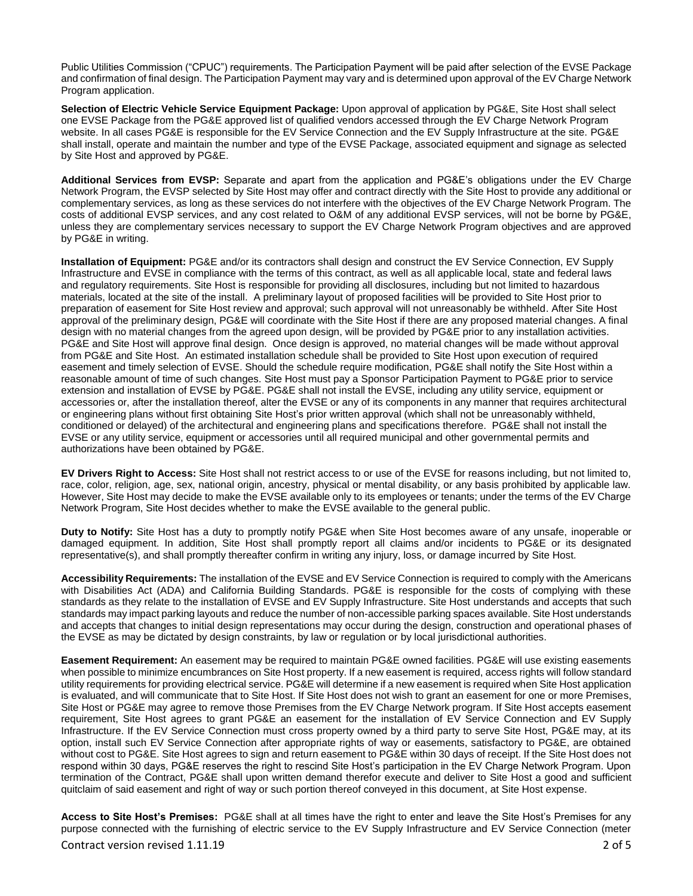Public Utilities Commission ("CPUC") requirements. The Participation Payment will be paid after selection of the EVSE Package and confirmation of final design. The Participation Payment may vary and is determined upon approval of the EV Charge Network Program application.

**Selection of Electric Vehicle Service Equipment Package:** Upon approval of application by PG&E, Site Host shall select one EVSE Package from the PG&E approved list of qualified vendors accessed through the EV Charge Network Program website. In all cases PG&E is responsible for the EV Service Connection and the EV Supply Infrastructure at the site. PG&E shall install, operate and maintain the number and type of the EVSE Package, associated equipment and signage as selected by Site Host and approved by PG&E.

**Additional Services from EVSP:** Separate and apart from the application and PG&E's obligations under the EV Charge Network Program, the EVSP selected by Site Host may offer and contract directly with the Site Host to provide any additional or complementary services, as long as these services do not interfere with the objectives of the EV Charge Network Program. The costs of additional EVSP services, and any cost related to O&M of any additional EVSP services, will not be borne by PG&E, unless they are complementary services necessary to support the EV Charge Network Program objectives and are approved by PG&E in writing.

**Installation of Equipment:** PG&E and/or its contractors shall design and construct the EV Service Connection, EV Supply Infrastructure and EVSE in compliance with the terms of this contract, as well as all applicable local, state and federal laws and regulatory requirements. Site Host is responsible for providing all disclosures, including but not limited to hazardous materials, located at the site of the install. A preliminary layout of proposed facilities will be provided to Site Host prior to preparation of easement for Site Host review and approval; such approval will not unreasonably be withheld. After Site Host approval of the preliminary design, PG&E will coordinate with the Site Host if there are any proposed material changes. A final design with no material changes from the agreed upon design, will be provided by PG&E prior to any installation activities. PG&E and Site Host will approve final design. Once design is approved, no material changes will be made without approval from PG&E and Site Host. An estimated installation schedule shall be provided to Site Host upon execution of required easement and timely selection of EVSE. Should the schedule require modification, PG&E shall notify the Site Host within a reasonable amount of time of such changes. Site Host must pay a Sponsor Participation Payment to PG&E prior to service extension and installation of EVSE by PG&E. PG&E shall not install the EVSE, including any utility service, equipment or accessories or, after the installation thereof, alter the EVSE or any of its components in any manner that requires architectural or engineering plans without first obtaining Site Host's prior written approval (which shall not be unreasonably withheld, conditioned or delayed) of the architectural and engineering plans and specifications therefore. PG&E shall not install the EVSE or any utility service, equipment or accessories until all required municipal and other governmental permits and authorizations have been obtained by PG&E.

**EV Drivers Right to Access:** Site Host shall not restrict access to or use of the EVSE for reasons including, but not limited to, race, color, religion, age, sex, national origin, ancestry, physical or mental disability, or any basis prohibited by applicable law. However, Site Host may decide to make the EVSE available only to its employees or tenants; under the terms of the EV Charge Network Program, Site Host decides whether to make the EVSE available to the general public.

**Duty to Notify:** Site Host has a duty to promptly notify PG&E when Site Host becomes aware of any unsafe, inoperable or damaged equipment. In addition, Site Host shall promptly report all claims and/or incidents to PG&E or its designated representative(s), and shall promptly thereafter confirm in writing any injury, loss, or damage incurred by Site Host.

**Accessibility Requirements:** The installation of the EVSE and EV Service Connection is required to comply with the Americans with Disabilities Act (ADA) and California Building Standards. PG&E is responsible for the costs of complying with these standards as they relate to the installation of EVSE and EV Supply Infrastructure. Site Host understands and accepts that such standards may impact parking layouts and reduce the number of non-accessible parking spaces available. Site Host understands and accepts that changes to initial design representations may occur during the design, construction and operational phases of the EVSE as may be dictated by design constraints, by law or regulation or by local jurisdictional authorities.

**Easement Requirement:** An easement may be required to maintain PG&E owned facilities. PG&E will use existing easements when possible to minimize encumbrances on Site Host property. If a new easement is required, access rights will follow standard utility requirements for providing electrical service. PG&E will determine if a new easement is required when Site Host application is evaluated, and will communicate that to Site Host. If Site Host does not wish to grant an easement for one or more Premises, Site Host or PG&E may agree to remove those Premises from the EV Charge Network program. If Site Host accepts easement requirement, Site Host agrees to grant PG&E an easement for the installation of EV Service Connection and EV Supply Infrastructure. If the EV Service Connection must cross property owned by a third party to serve Site Host, PG&E may, at its option, install such EV Service Connection after appropriate rights of way or easements, satisfactory to PG&E, are obtained without cost to PG&E. Site Host agrees to sign and return easement to PG&E within 30 days of receipt. If the Site Host does not respond within 30 days, PG&E reserves the right to rescind Site Host's participation in the EV Charge Network Program. Upon termination of the Contract, PG&E shall upon written demand therefor execute and deliver to Site Host a good and sufficient quitclaim of said easement and right of way or such portion thereof conveyed in this document, at Site Host expense.

**Access to Site Host's Premises:** PG&E shall at all times have the right to enter and leave the Site Host's Premises for any purpose connected with the furnishing of electric service to the EV Supply Infrastructure and EV Service Connection (meter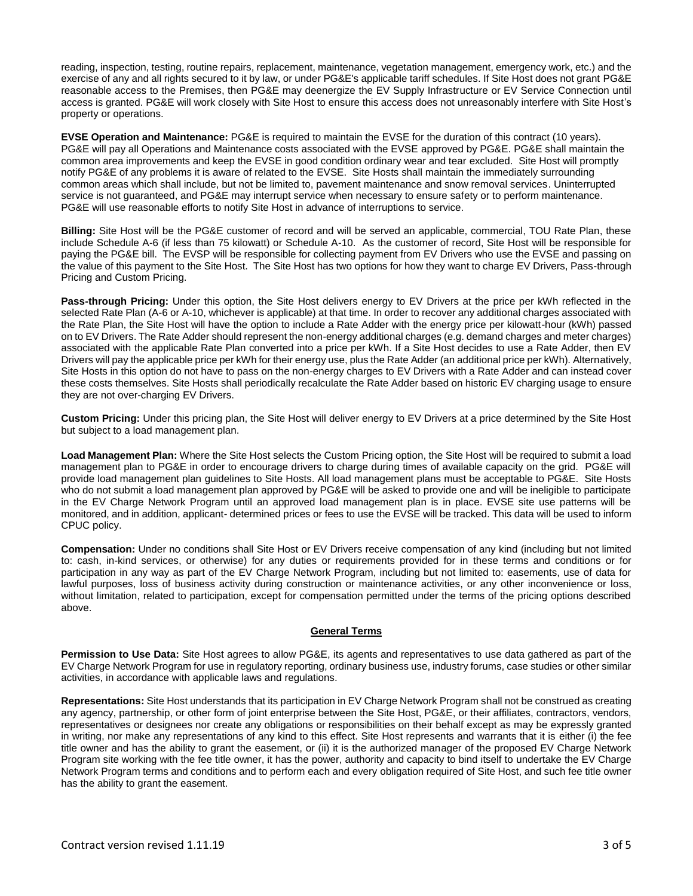reading, inspection, testing, routine repairs, replacement, maintenance, vegetation management, emergency work, etc.) and the exercise of any and all rights secured to it by law, or under PG&E's applicable tariff schedules. If Site Host does not grant PG&E reasonable access to the Premises, then PG&E may deenergize the EV Supply Infrastructure or EV Service Connection until access is granted. PG&E will work closely with Site Host to ensure this access does not unreasonably interfere with Site Host's property or operations.

**EVSE Operation and Maintenance:** PG&E is required to maintain the EVSE for the duration of this contract (10 years). PG&E will pay all Operations and Maintenance costs associated with the EVSE approved by PG&E. PG&E shall maintain the common area improvements and keep the EVSE in good condition ordinary wear and tear excluded. Site Host will promptly notify PG&E of any problems it is aware of related to the EVSE. Site Hosts shall maintain the immediately surrounding common areas which shall include, but not be limited to, pavement maintenance and snow removal services. Uninterrupted service is not guaranteed, and PG&E may interrupt service when necessary to ensure safety or to perform maintenance. PG&E will use reasonable efforts to notify Site Host in advance of interruptions to service.

**Billing:** Site Host will be the PG&E customer of record and will be served an applicable, commercial, TOU Rate Plan, these include Schedule A-6 (if less than 75 kilowatt) or Schedule A-10. As the customer of record, Site Host will be responsible for paying the PG&E bill. The EVSP will be responsible for collecting payment from EV Drivers who use the EVSE and passing on the value of this payment to the Site Host. The Site Host has two options for how they want to charge EV Drivers, Pass-through Pricing and Custom Pricing.

**Pass-through Pricing:** Under this option, the Site Host delivers energy to EV Drivers at the price per kWh reflected in the selected Rate Plan (A-6 or A-10, whichever is applicable) at that time. In order to recover any additional charges associated with the Rate Plan, the Site Host will have the option to include a Rate Adder with the energy price per kilowatt-hour (kWh) passed on to EV Drivers. The Rate Adder should represent the non-energy additional charges (e.g. demand charges and meter charges) associated with the applicable Rate Plan converted into a price per kWh. If a Site Host decides to use a Rate Adder, then EV Drivers will pay the applicable price per kWh for their energy use, plus the Rate Adder (an additional price per kWh). Alternatively, Site Hosts in this option do not have to pass on the non-energy charges to EV Drivers with a Rate Adder and can instead cover these costs themselves. Site Hosts shall periodically recalculate the Rate Adder based on historic EV charging usage to ensure they are not over-charging EV Drivers.

**Custom Pricing:** Under this pricing plan, the Site Host will deliver energy to EV Drivers at a price determined by the Site Host but subject to a load management plan.

**Load Management Plan:** Where the Site Host selects the Custom Pricing option, the Site Host will be required to submit a load management plan to PG&E in order to encourage drivers to charge during times of available capacity on the grid. PG&E will provide load management plan guidelines to Site Hosts. All load management plans must be acceptable to PG&E. Site Hosts who do not submit a load management plan approved by PG&E will be asked to provide one and will be ineligible to participate in the EV Charge Network Program until an approved load management plan is in place. EVSE site use patterns will be monitored, and in addition, applicant- determined prices or fees to use the EVSE will be tracked. This data will be used to inform CPUC policy.

**Compensation:** Under no conditions shall Site Host or EV Drivers receive compensation of any kind (including but not limited to: cash, in-kind services, or otherwise) for any duties or requirements provided for in these terms and conditions or for participation in any way as part of the EV Charge Network Program, including but not limited to: easements, use of data for lawful purposes, loss of business activity during construction or maintenance activities, or any other inconvenience or loss, without limitation, related to participation, except for compensation permitted under the terms of the pricing options described above.

#### **General Terms**

**Permission to Use Data:** Site Host agrees to allow PG&E, its agents and representatives to use data gathered as part of the EV Charge Network Program for use in regulatory reporting, ordinary business use, industry forums, case studies or other similar activities, in accordance with applicable laws and regulations.

**Representations:** Site Host understands that its participation in EV Charge Network Program shall not be construed as creating any agency, partnership, or other form of joint enterprise between the Site Host, PG&E, or their affiliates, contractors, vendors, representatives or designees nor create any obligations or responsibilities on their behalf except as may be expressly granted in writing, nor make any representations of any kind to this effect. Site Host represents and warrants that it is either (i) the fee title owner and has the ability to grant the easement, or (ii) it is the authorized manager of the proposed EV Charge Network Program site working with the fee title owner, it has the power, authority and capacity to bind itself to undertake the EV Charge Network Program terms and conditions and to perform each and every obligation required of Site Host, and such fee title owner has the ability to grant the easement.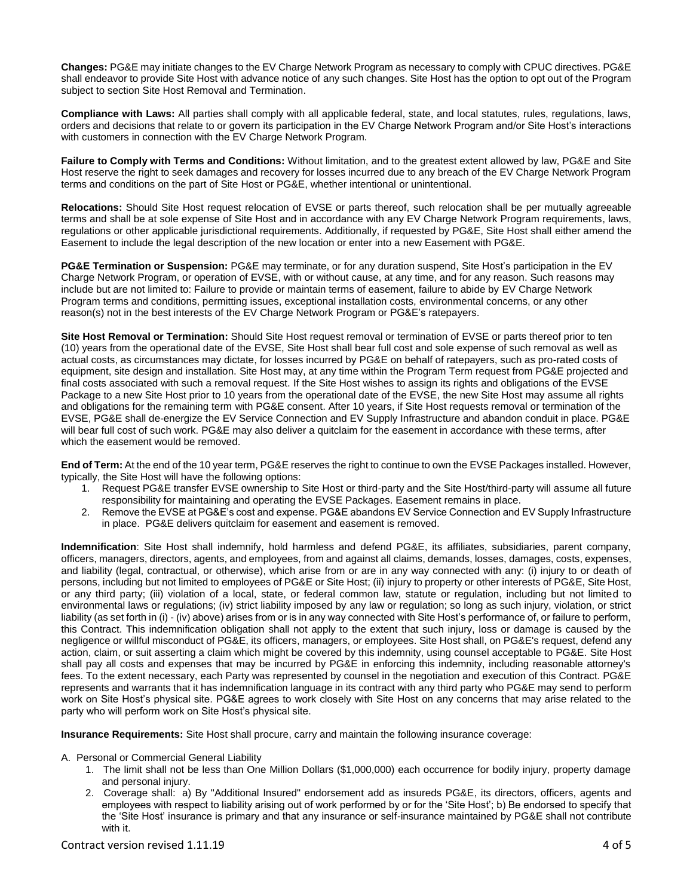**Changes:** PG&E may initiate changes to the EV Charge Network Program as necessary to comply with CPUC directives. PG&E shall endeavor to provide Site Host with advance notice of any such changes. Site Host has the option to opt out of the Program subject to section Site Host Removal and Termination.

**Compliance with Laws:** All parties shall comply with all applicable federal, state, and local statutes, rules, regulations, laws, orders and decisions that relate to or govern its participation in the EV Charge Network Program and/or Site Host's interactions with customers in connection with the EV Charge Network Program.

**Failure to Comply with Terms and Conditions:** Without limitation, and to the greatest extent allowed by law, PG&E and Site Host reserve the right to seek damages and recovery for losses incurred due to any breach of the EV Charge Network Program terms and conditions on the part of Site Host or PG&E, whether intentional or unintentional.

**Relocations:** Should Site Host request relocation of EVSE or parts thereof, such relocation shall be per mutually agreeable terms and shall be at sole expense of Site Host and in accordance with any EV Charge Network Program requirements, laws, regulations or other applicable jurisdictional requirements. Additionally, if requested by PG&E, Site Host shall either amend the Easement to include the legal description of the new location or enter into a new Easement with PG&E.

**PG&E Termination or Suspension:** PG&E may terminate, or for any duration suspend, Site Host's participation in the EV Charge Network Program, or operation of EVSE, with or without cause, at any time, and for any reason. Such reasons may include but are not limited to: Failure to provide or maintain terms of easement, failure to abide by EV Charge Network Program terms and conditions, permitting issues, exceptional installation costs, environmental concerns, or any other reason(s) not in the best interests of the EV Charge Network Program or PG&E's ratepayers.

**Site Host Removal or Termination:** Should Site Host request removal or termination of EVSE or parts thereof prior to ten (10) years from the operational date of the EVSE, Site Host shall bear full cost and sole expense of such removal as well as actual costs, as circumstances may dictate, for losses incurred by PG&E on behalf of ratepayers, such as pro-rated costs of equipment, site design and installation. Site Host may, at any time within the Program Term request from PG&E projected and final costs associated with such a removal request. If the Site Host wishes to assign its rights and obligations of the EVSE Package to a new Site Host prior to 10 years from the operational date of the EVSE, the new Site Host may assume all rights and obligations for the remaining term with PG&E consent. After 10 years, if Site Host requests removal or termination of the EVSE, PG&E shall de-energize the EV Service Connection and EV Supply Infrastructure and abandon conduit in place. PG&E will bear full cost of such work. PG&E may also deliver a quitclaim for the easement in accordance with these terms, after which the easement would be removed.

**End of Term:** At the end of the 10 year term, PG&E reserves the right to continue to own the EVSE Packages installed. However, typically, the Site Host will have the following options:

- 1. Request PG&E transfer EVSE ownership to Site Host or third-party and the Site Host/third-party will assume all future responsibility for maintaining and operating the EVSE Packages. Easement remains in place.
- 2. Remove the EVSE at PG&E's cost and expense. PG&E abandons EV Service Connection and EV Supply Infrastructure in place. PG&E delivers quitclaim for easement and easement is removed.

**Indemnification**: Site Host shall indemnify, hold harmless and defend PG&E, its affiliates, subsidiaries, parent company, officers, managers, directors, agents, and employees, from and against all claims, demands, losses, damages, costs, expenses, and liability (legal, contractual, or otherwise), which arise from or are in any way connected with any: (i) injury to or death of persons, including but not limited to employees of PG&E or Site Host; (ii) injury to property or other interests of PG&E, Site Host, or any third party; (iii) violation of a local, state, or federal common law, statute or regulation, including but not limited to environmental laws or regulations; (iv) strict liability imposed by any law or regulation; so long as such injury, violation, or strict liability (as set forth in (i) - (iv) above) arises from or is in any way connected with Site Host's performance of, or failure to perform, this Contract. This indemnification obligation shall not apply to the extent that such injury, loss or damage is caused by the negligence or willful misconduct of PG&E, its officers, managers, or employees. Site Host shall, on PG&E's request, defend any action, claim, or suit asserting a claim which might be covered by this indemnity, using counsel acceptable to PG&E. Site Host shall pay all costs and expenses that may be incurred by PG&E in enforcing this indemnity, including reasonable attorney's fees. To the extent necessary, each Party was represented by counsel in the negotiation and execution of this Contract. PG&E represents and warrants that it has indemnification language in its contract with any third party who PG&E may send to perform work on Site Host's physical site. PG&E agrees to work closely with Site Host on any concerns that may arise related to the party who will perform work on Site Host's physical site.

**Insurance Requirements:** Site Host shall procure, carry and maintain the following insurance coverage:

#### A. Personal or Commercial General Liability

- 1. The limit shall not be less than One Million Dollars (\$1,000,000) each occurrence for bodily injury, property damage and personal injury.
- 2. Coverage shall: a) By "Additional Insured" endorsement add as insureds PG&E, its directors, officers, agents and employees with respect to liability arising out of work performed by or for the 'Site Host'; b) Be endorsed to specify that the 'Site Host' insurance is primary and that any insurance or self-insurance maintained by PG&E shall not contribute with it.